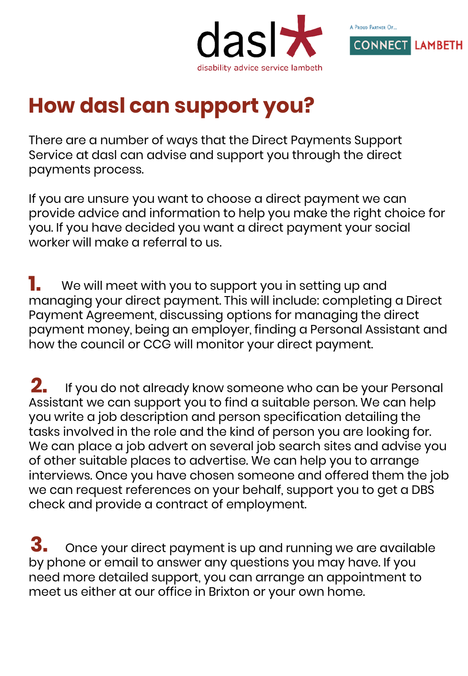



## **How dasl can support you?**

There are a number of ways that the Direct Payments Support Service at dasl can advise and support you through the direct payments process.

If you are unsure you want to choose a direct payment we can provide advice and information to help you make the right choice for you. If you have decided you want a direct payment your social worker will make a referral to us.

We will meet with you to support you in setting up and managing your direct payment. This will include: completing a Direct Payment Agreement, discussing options for managing the direct payment money, being an employer, finding a Personal Assistant and how the council or CCG will monitor your direct payment. **1.**

If you do not already know someone who can be your Personal Assistant we can support you to find a suitable person. We can help you write a job description and person specification detailing the tasks involved in the role and the kind of person you are looking for. We can place a job advert on several job search sites and advise you of other suitable places to advertise. We can help you to arrange interviews. Once you have chosen someone and offered them the job we can request references on your behalf, support you to get a DBS check and provide a contract of employment. **2.**

Once your direct payment is up and running we are available by phone or email to answer any questions you may have. If you need more detailed support, you can arrange an appointment to meet us either at our office in Brixton or your own home. **3.**